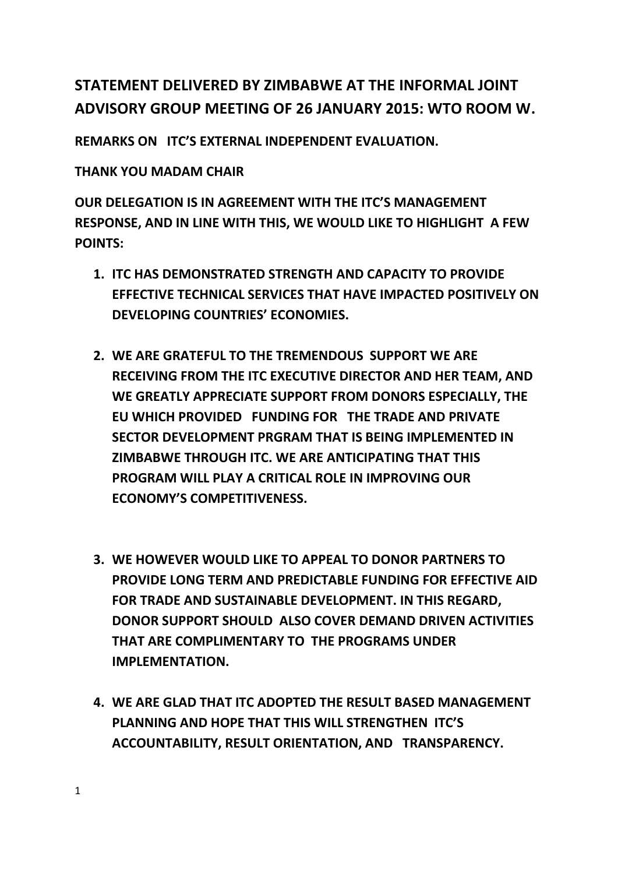## **STATEMENT DELIVERED BY ZIMBABWE AT THE INFORMAL JOINT ADVISORY GROUP MEETING OF 26 JANUARY 2015: WTO ROOM W.**

**REMARKS ON ITC'S EXTERNAL INDEPENDENT EVALUATION.**

**THANK YOU MADAM CHAIR**

**OUR DELEGATION IS IN AGREEMENT WITH THE ITC'S MANAGEMENT RESPONSE, AND IN LINE WITH THIS, WE WOULD LIKE TO HIGHLIGHT A FEW POINTS:** 

- **1. ITC HAS DEMONSTRATED STRENGTH AND CAPACITY TO PROVIDE EFFECTIVE TECHNICAL SERVICES THAT HAVE IMPACTED POSITIVELY ON DEVELOPING COUNTRIES' ECONOMIES.**
- **2. WE ARE GRATEFUL TO THE TREMENDOUS SUPPORT WE ARE RECEIVING FROM THE ITC EXECUTIVE DIRECTOR AND HER TEAM, AND WE GREATLY APPRECIATE SUPPORT FROM DONORS ESPECIALLY, THE EU WHICH PROVIDED FUNDING FOR THE TRADE AND PRIVATE SECTOR DEVELOPMENT PRGRAM THAT IS BEING IMPLEMENTED IN ZIMBABWE THROUGH ITC. WE ARE ANTICIPATING THAT THIS PROGRAM WILL PLAY A CRITICAL ROLE IN IMPROVING OUR ECONOMY'S COMPETITIVENESS.**
- **3. WE HOWEVER WOULD LIKE TO APPEAL TO DONOR PARTNERS TO PROVIDE LONG TERM AND PREDICTABLE FUNDING FOR EFFECTIVE AID FOR TRADE AND SUSTAINABLE DEVELOPMENT. IN THIS REGARD, DONOR SUPPORT SHOULD ALSO COVER DEMAND DRIVEN ACTIVITIES THAT ARE COMPLIMENTARY TO THE PROGRAMS UNDER IMPLEMENTATION.**
- **4. WE ARE GLAD THAT ITC ADOPTED THE RESULT BASED MANAGEMENT PLANNING AND HOPE THAT THIS WILL STRENGTHEN ITC'S ACCOUNTABILITY, RESULT ORIENTATION, AND TRANSPARENCY.**